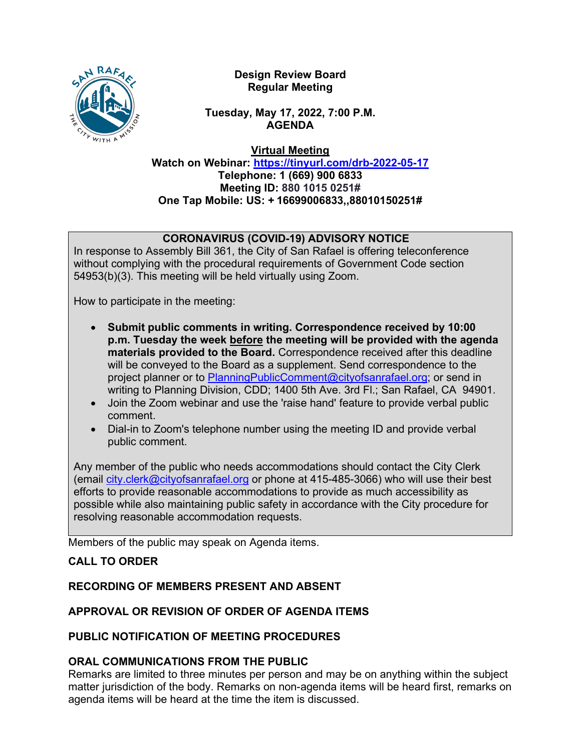

**Design Review Board Regular Meeting**

**Tuesday, May 17, 2022, 7:00 P.M. AGENDA**

**Virtual Meeting**

**Watch on Webinar: https://tinyurl.com/drb-2022-05-17 Telephone: 1 (669) 900 6833 Meeting ID: 880 1015 0251# One Tap Mobile: US: + 16699006833,,88010150251#**

# **CORONAVIRUS (COVID-19) ADVISORY NOTICE**

In response to Assembly Bill 361, the City of San Rafael is offering teleconference without complying with the procedural requirements of Government Code section 54953(b)(3). This meeting will be held virtually using Zoom.

How to participate in the meeting:

- **Submit public comments in writing. Correspondence received by 10:00 p.m. Tuesday the week before the meeting will be provided with the agenda materials provided to the Board.** Correspondence received after this deadline will be conveyed to the Board as a supplement. Send correspondence to the project planner or to [PlanningPublicComment@cityofsanrafael.org;](mailto:PlanningPublicComment@cityofsanrafael.org) or send in writing to Planning Division, CDD; 1400 5th Ave. 3rd Fl.; San Rafael, CA 94901.
- Join the Zoom webinar and use the 'raise hand' feature to provide verbal public comment.
- Dial-in to Zoom's telephone number using the meeting ID and provide verbal public comment.

Any member of the public who needs accommodations should contact the City Clerk (email [city.clerk@cityofsanrafael.org](mailto:city.clerk@cityofsanrafael.org) or phone at 415-485-3066) who will use their best efforts to provide reasonable accommodations to provide as much accessibility as possible while also maintaining public safety in accordance with the City procedure for resolving reasonable accommodation requests.

Members of the public may speak on Agenda items.

# **CALL TO ORDER**

## **RECORDING OF MEMBERS PRESENT AND ABSENT**

# **APPROVAL OR REVISION OF ORDER OF AGENDA ITEMS**

## **PUBLIC NOTIFICATION OF MEETING PROCEDURES**

## **ORAL COMMUNICATIONS FROM THE PUBLIC**

Remarks are limited to three minutes per person and may be on anything within the subject matter jurisdiction of the body. Remarks on non-agenda items will be heard first, remarks on agenda items will be heard at the time the item is discussed.